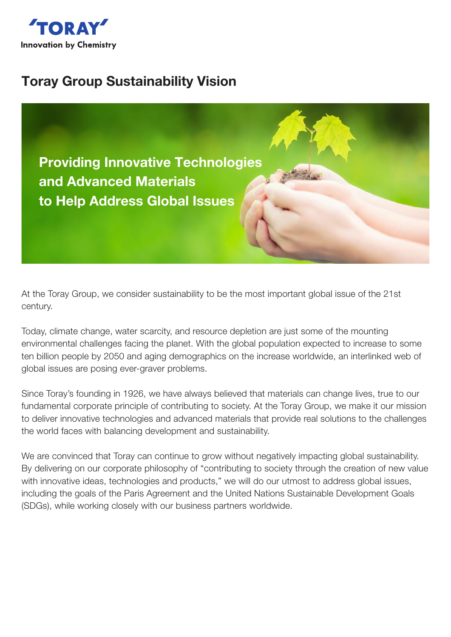

# Toray Group Sustainability Vision

Providing Innovative Technologies and Advanced Materials to Help Address Global Issues

At the Toray Group, we consider sustainability to be the most important global issue of the 21st century.

Today, climate change, water scarcity, and resource depletion are just some of the mounting environmental challenges facing the planet. With the global population expected to increase to some ten billion people by 2050 and aging demographics on the increase worldwide, an interlinked web of global issues are posing ever-graver problems.

Since Toray's founding in 1926, we have always believed that materials can change lives, true to our fundamental corporate principle of contributing to society. At the Toray Group, we make it our mission to deliver innovative technologies and advanced materials that provide real solutions to the challenges the world faces with balancing development and sustainability.

We are convinced that Toray can continue to grow without negatively impacting global sustainability. By delivering on our corporate philosophy of "contributing to society through the creation of new value with innovative ideas, technologies and products," we will do our utmost to address global issues, including the goals of the Paris Agreement and the United Nations Sustainable Development Goals (SDGs), while working closely with our business partners worldwide.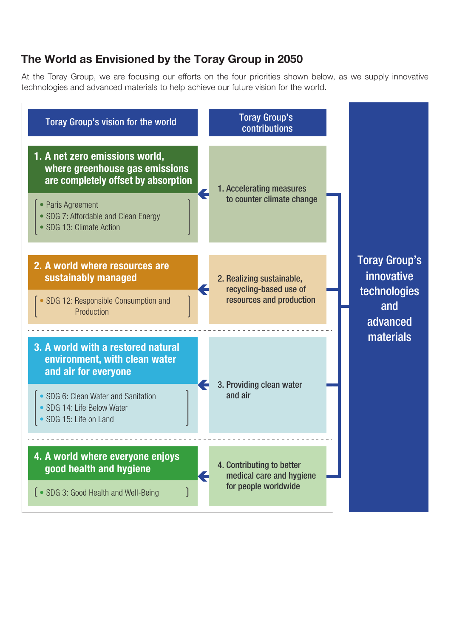## The World as Envisioned by the Toray Group in 2050

At the Toray Group, we are focusing our efforts on the four priorities shown below, as we supply innovative technologies and advanced materials to help achieve our future vision for the world.

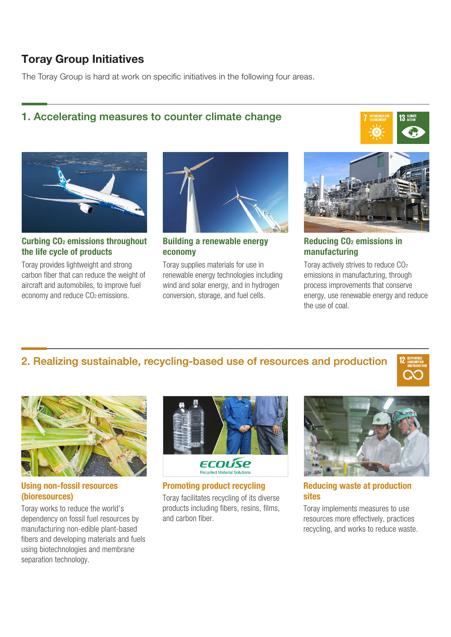## Toray Group Initiatives

The Toray Group is hard at work on specific initiatives in the following four areas.

#### 1. Accelerating measures to counter climate change





Curbing CO2 emissions throughout the life cycle of products

Toray provides lightweight and strong carbon fiber that can reduce the weight of aircraft and automobiles, to improve fuel economy and reduce CO<sub>2</sub> emissions.



Building a renewable energy economy

Toray supplies materials for use in renewable energy technologies including wind and solar energy, and in hydrogen conversion, storage, and fuel cells.



Reducing CO2 emissions in manufacturing

Toray actively strives to reduce CO2 emissions in manufacturing, through process improvements that conserve energy, use renewable energy and reduce the use of coal.

#### 2. Realizing sustainable, recycling-based use of resources and production



Using non-fossil resources (bioresources)

Toray works to reduce the world's dependency on fossil fuel resources by manufacturing non-edible plant-based fibers and developing materials and fuels using biotechnologies and membrane separation technology.



Promoting product recycling Toray facilitates recycling of its diverse products including fibers, resins, films, and carbon fiber.



Reducing waste at production sites

Toray implements measures to use resources more effectively, practices recycling, and works to reduce waste.